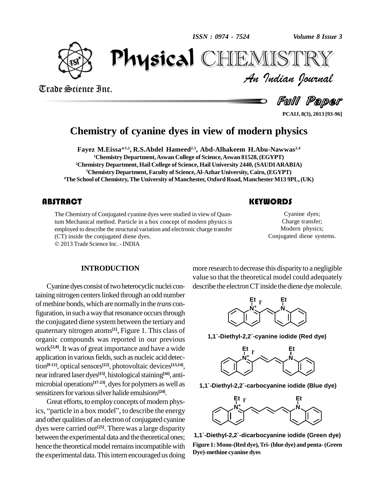

Trade Science Inc.

Trade Science Inc.

*Volume 8 Issue 3*<br>IISTRY<br>Indian Iournal PhysicalCHEMISTRY

Full Paper

**PCAIJ, 8(3), 2013 [93-96]**

### **Chemistry of cyanine dyes in view of modern physics**

**Fayez M.Eissa**\* **1,2 , R.S.Abdel Hameed 2,3 , Abd-Alhakeem H.Abu-Nawwas 2,4 Chemistry Department,Aswan College of Science,Aswan 81528, (EGYPT) Chemistry Department, Hail College of Science, Hail University 2440, (SAUDIARABIA) Chemistry Department, Faculty of Science,Al-Azhar University, Cairo, (EGYPT) The School of Chemistry,The University ofManchester, Oxford Road, ManchesterM13 9PL,(UK)**

#### **ABSTRACT**

The Chemistry of Conjug<br>tum Mechanical method<br>employed to describe the The Chemistry of Conjugated cyanine dyes were studied in view of Quantum Mechanical method. Particle in a box concept of modern physics is employed to describe the structural variation and electronic charge transfer (CT) inside the conjugated diene dyes.

2013 Trade Science Inc. - INDIA

#### **KEYWORDS**

Cyanine dyes<br>Charge transfe<br>Modern physic Cyanine dyes; Charge transfer; Modern physics; Conjugated diene systems.

#### **INTRODUCTION**

Cyanine dyes consist of two heterocyclic nuclei containing nitrogen centers linked through an odd number of methine bonds, which are normally in the *trans* configuration, in such a way that resonance occurs through the conjugated diene system between the tertiary and quaternary nitrogen atoms **[1]**, Figure 1. This class of organic compounds was reported in our previous work **[2,8]**. It was of great importance and have a wide application in various fields, such as nucleic acid detection<sup>[9-11]</sup>, optical sensors<sup>[12]</sup>, photovoltaic devices<sup>[13,14]</sup>, near infrared laser dyes<sup>[15]</sup>, histological staining<sup>[16]</sup>, antimicrobial operations<sup>[17-23]</sup>, dyes for polymers as well as  $\qquad 1.1$ sensitizers for various silver halide emulsions<sup>[24]</sup>.

Great efforts, to employ concepts of modern physics, "particle in a box model", to describe the energy and other qualities of an electron of conjugated cyanine dyes were carried out **[25]**. There was a large disparity between the experimental data and the theoretical ones; hence the theoretical model remains incompatible with the experimental data. This intern encouraged us doing

more research to decrease this disparity to a negligible value so that the theoretical model could adequately describe the electron CT inside the diene dye molecule.



**1,1`-Diethyl-2,2`-cyanine iodide (Red dye)**



**1,1`-Diethyl-2,2`-carbocyanine iodide (Blue dye)**



**1,1`-Diethyl-2,2`-dicarbocyanine iodide (Green dye) Figure 1: Mono-(Red dye),Tri-(blue dye) and penta-(Green Dye)-methine cyanine dyes**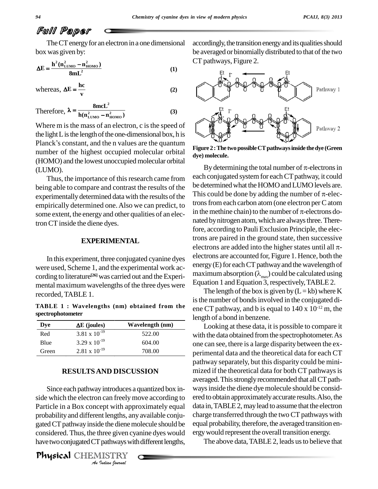## Full Paper

The CT energy for an electron in a one dimensional box was given by:<br> $\mathbf{h}^2(\mathbf{n}_{\text{true}}^2 - \mathbf{n}_{\text{move}}^2)$ 

box was given by:  
\n
$$
\Delta E = \frac{h^2 (n_{LUMO}^2 - n_{HOMO}^2)}{8mL^2}
$$
\n(1)  
\nwhereas,  $\Delta E = \frac{hc}{}$  (2)

whereas,  $\Delta E = \frac{hc}{v}$ 

$$
v
$$
  
Therefore,  $\lambda = \frac{8mcL^2}{h(n_{LUMO}^2 - n_{HOMO}^2)}$  (3)

Where m is the mass of an electron, c is the speed of<br>the light L is the length of the one-dimensional box, h is<br>Planck's constant, and the n values are the quantum the light L is the length of the one-dimensional box, h is number of the highest occupied molecular orbital (HOMO) and the lowest unoccupied molecular orbital

Thus, the importance of this research came from being able to compare and contrast the results of the experimentally determined data with the results of the some extent, the energy and other qualities of an electronCT inside the diene dyes.

#### **EXPERIMENTAL**

In this experiment, three conjugated cyanine dyes were used, Scheme 1, and the experimental work ac cording to literature<sup>[26]</sup> was carried out and the Experimental maximum wavelengths of the three dyes were recorded, TABLE 1.

**Dye <sup>E</sup> (joules) Wavelength (nm) TABLE 1 : Wavelengths (nm) obtained from the spectrophotometer**

| Dve   | $\Delta E$ (joules)    | Wavelength (nm) |
|-------|------------------------|-----------------|
| Red   | $3.81 \times 10^{-19}$ | 522.00          |
| Blue  | $3.29 \times 10^{-19}$ | 604.00          |
| Green | $2.81 \times 10^{-19}$ | 708.00          |

#### **RESULTSAND DISCUSSION**

*An*probability and different lengths, any available conju- *Institute With app*<br>*Institute dienery*<br>*Institute Similary*<br>*Indian Sparmal* Since each pathwayintroduces <sup>a</sup> quantized box in-side which the electron can freelymove according to Particle in a Box concept with approximately equal gated CT pathway inside the diene molecule should be considered. Thus, the three given cyanine dyes would have two conjugated CT pathways with different lengths,

(LUMO).

accordingly, the transition energy and its qualities should be averaged or binomially distributed to that of the two CT pathways, Figure 2.



**Figure 2 :The twopossibleCTpathwaysinside thedye (Green dye) molecule.**

empirically determined one. Also we can predict, to  $\frac{\text{tons}}{\text{tons}}$  to  $\frac{\text{tons}}{\text{tons}}$  and  $\frac{\text{tons}}{\text{tons}}$  in the methine chain) to the number of  $\pi$ -electrons do-By determining the total number of  $\pi$ -electrons in each conjugated system for each CT pathway, it could<br>be determined what the HOMO and LUMO levels are.<br>This could be done by adding the number of  $\pi$ -elecbe determined what the HOMO and LUMO levels are. trons from each carbon atom (one electron per C atom This could be done by adding the number of  $\pi$ -elecnated by nitrogen atom, which are always three. Therefore, according to Pauli Exclusion Principle, the electrons are paired in the ground state, then successive electrons are added into the higher states until all  $\pi$ electrons are accounted for, Figure 1. Hence, both the energy $(E)$  for each CT pathway and the wavelength of maximum absorption  $(\lambda_{\text{max}})$  could be calculated using Equation 1 and Equation 3, respectively, TABLE 2.

> The length of the box is given by  $(L=kb)$  where K is the number of bonds involved in the conjugated diene CT pathway, and b is equal to  $140 \times 10^{-12}$  m, the length of a bond in benzene.

Looking at these data, it is possible to compare it with the data obtained from the spectrophotometer. As one can see, there is a large disparity between the ex perimental data and the theoretical data for each CT pathway separately, but this disparity could be mini mized if the theoretical data for both CT pathways is averaged. This strongly recommended that all CT pathways inside the diene dye molecule should be considered to obtain approximatelyaccurate results.Also, the data in, TABLE 2, may lead to assume that the electron charge transferred through the two CT pathways with equal probability, therefore, the averaged transition energywould represent the overall transition energy.

The above data, TABLE 2, leads us to believe that

Physical CHEMISTRY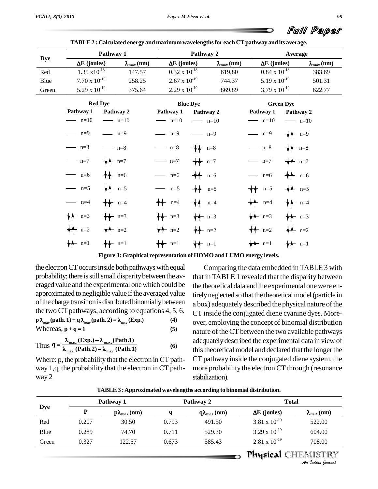| Full Paper |  |
|------------|--|

|            | Pathway 1              |                               |                        | Pathway 2       |                       | Average                |                |                       |  |
|------------|------------------------|-------------------------------|------------------------|-----------------|-----------------------|------------------------|----------------|-----------------------|--|
| <b>Dye</b> | $\Delta E$ (joules)    | $\lambda_{\max}$ (nm)         | $\Delta E$ (joules)    |                 | $\lambda_{\max}$ (nm) | $\Delta E$ (joules)    |                | $\lambda_{\max}$ (nm) |  |
| Red        | $1.35 \times 10^{-18}$ | 147.57                        | $0.32 \times 10^{-18}$ |                 | 619.80                | $0.84 \times 10^{-18}$ |                | 383.69                |  |
| Blue       | $7.70 \times 10^{-19}$ | 258.25                        | $2.67 \times 10^{-19}$ |                 | 744.37                | $5.19 \times 10^{-19}$ |                | 501.31                |  |
| Green      | 5.29 x $10^{-19}$      | 375.64                        | $2.29 \times 10^{-19}$ |                 | 869.89                | $3.79 \times 10^{-19}$ |                | 622.77                |  |
|            |                        | <b>Red Dye</b>                |                        | <b>Blue Dye</b> |                       | <b>Green Dye</b>       |                |                       |  |
|            | Pathway 1              | Pathway 2                     | Pathway 1              | Pathway 2       |                       | Pathway 1              | Pathway 2      |                       |  |
|            | $\longrightarrow$ n=10 | $\longrightarrow$ n=10        | $-$ n=10               | $ n=10$         |                       | $\longrightarrow$ n=10 | $ n=10$        |                       |  |
|            | $\frac{m-9}{m}$        | $ n=9$                        | $n=9$                  | $ n=9$          |                       | $-$ n=9                | $+4$ n=9       |                       |  |
|            | $\longrightarrow$ n=8  | $-$ n=8                       | $-$ n=8                | $\bigstar$ n=8  |                       | $-$ n=8                | $\bigstar$ n=8 |                       |  |
|            | $\longrightarrow$ n=7  | $\bigstar$ n=7                | $n=7$                  | $+$ n=7         |                       | $-$ n=7                | $+$ n=7        |                       |  |
|            | $-$ n=6                | $+4$ n=6                      | $n=6$                  | $+4$ n=6        |                       | $n=6$                  | $+$ $n=6$      |                       |  |
|            | $\longrightarrow$ n=5  | $+4$ n=5                      | $\longrightarrow$ n=5  | $+4$ n=5        |                       | $\bigstar$ n=5         | $+4 n=5$       |                       |  |
|            | $\longrightarrow$ n=4  | $\bigstar$ n=4                | $\bigstar\uparrow$ n=4 | $\bigstar$ n=4  |                       | $\bigstar$ n=4         | $+$ n=4        |                       |  |
|            | $\sqrt{1 + n} = 3$     | $+$ $ n=3$                    | $\bigstar$ n=3         | $#$ n=3         |                       | $+$ n=3                | $\bigstar$ n=3 |                       |  |
|            | $+ - n=2$              | $+$ $n=2$                     | $+ - n=2$              | $+$ $n=2$       |                       | $+$ $ n=2$             | $+$ $n=2$      |                       |  |
|            | $\bigstar$ n=1         | $\biguparrow \biguparrow$ n=1 | $\bigstar$ n=1         | $\bigstar$ n=1  |                       | $\bigstar$ n=1         | $\bigstar$ n=1 |                       |  |

**TABLE2 : Calculated energy and maximumwavelengthsfor each CTpathway and its average.**

**Figure 3: Graphical representation of HOMO andLUMO energy levels.**

the electron CT occurs inside both pathways with equal probability; there is still small disparity between the averaged value and the experimental onewhich could be approximated to negligible value if the averaged value of the charge transition is distributed binomially between the two CT pathways, according to equations 4, 5, 6.  $\epsilon$ **<sup>p</sup> max (path. 1) +q max (path. 2) <sup>=</sup> max (Exp.) (4)**

Whereas,  $\mathbf{p} + \mathbf{q} = 1$  (5)  $P^{(n+1)}$   $\rightarrow$   $P_{\text{max}}$ <br> $\rightarrow$   $\rightarrow$   $\rightarrow$   $\rightarrow$   $\rightarrow$   $\rightarrow$ 

Thus 
$$
q = \frac{\lambda_{max.}(Exp.) - \lambda_{max.}(Path.1)}{\lambda_{max.}(Path.2) - \lambda_{max.}(Path.1)}
$$
 (6)

Where: p, the probability that the electron in CT pathway  $1,q$ , the probability that the electron in CT pathway 2

Comparing the data embedded in TABLE 3 with that in TABLE 1 revealed that the disparity between the theoretical data and the experimental one were entirely neglected so that the theoretical model (particle in a box) adequately described the physical nature of the CT inside the conjugated diene cyanine dyes. More over, employing the concept of binomial distribution nature of the CT between the two available pathways adequately described the experimental data in view of this theoretical model and declared that the longer the CT pathway inside the conjugated diene system, the more probability the electron CT through (resonance stabilization).

| <b>Dye</b> | Pathway 1 |                      | Pathway 2 |                             | <b>Total</b>           |                                                |  |
|------------|-----------|----------------------|-----------|-----------------------------|------------------------|------------------------------------------------|--|
|            | P         | $p\lambda_{max}(nm)$ | a         | $q\lambda_{\text{max}}(nm)$ | $\Delta E$ (joules)    | $\lambda_{\max}$ (nm)                          |  |
| Red        | 0.207     | 30.50                | 0.793     | 491.50                      | 3.81 x $10^{-19}$      | 522.00                                         |  |
| Blue       | 0.289     | 74.70                | 0.711     | 529.30                      | $3.29 \times 10^{-19}$ | 604.00                                         |  |
| Green      | 0.327     | 122.57               | 0.673     | 585.43                      | $2.81 \times 10^{-19}$ | 708.00                                         |  |
|            |           |                      |           |                             |                        | <b>Physical CHEMISTRY</b><br>An Indian Nournal |  |

**TABLE3 :Approximatedwavelengths according to binomial distribution.**